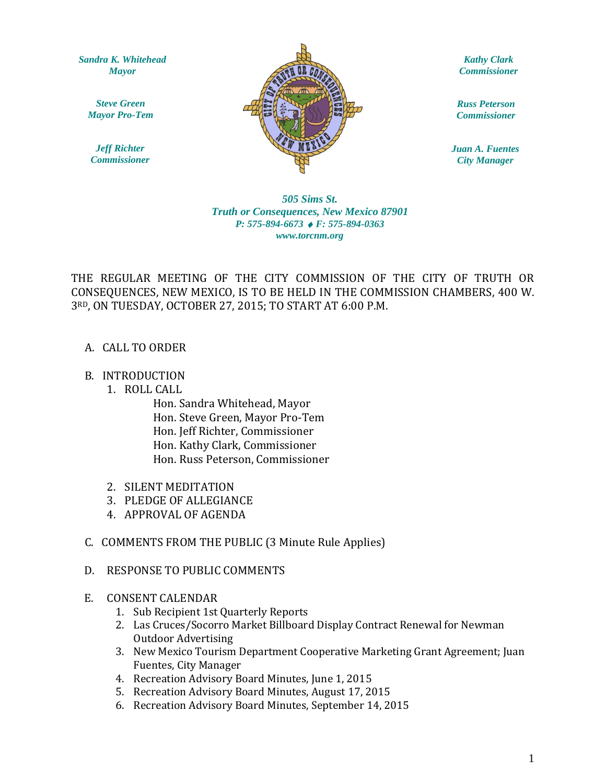*Sandra K. Whitehead Mayor*

*Steve Green Mayor Pro-Tem*

*Jeff Richter Commissioner*



*Kathy Clark Commissioner*

*Russ Peterson Commissioner*

*Juan A. Fuentes City Manager*

## $www.torcnm.org$ *505 Sims St. Truth or Consequences, New Mexico 87901 P: 575-894-6673 F: 575-894-0363*

THE REGULAR MEETING OF THE CITY COMMISSION OF THE CITY OF TRUTH OR CONSEQUENCES, NEW MEXICO, IS TO BE HELD IN THE COMMISSION CHAMBERS, 400 W. 3RD, ON TUESDAY, OCTOBER 27, 2015; TO START AT 6:00 P.M.

A. CALL TO ORDER

## B. INTRODUCTION

1. ROLL CALL

Hon. Sandra Whitehead, Mayor Hon. Steve Green, Mayor Pro-Tem Hon. Jeff Richter, Commissioner Hon. Kathy Clark, Commissioner Hon. Russ Peterson, Commissioner

- 2. SILENT MEDITATION
- 3. PLEDGE OF ALLEGIANCE
- 4. APPROVAL OF AGENDA
- C. COMMENTS FROM THE PUBLIC (3 Minute Rule Applies)
- D. RESPONSE TO PUBLIC COMMENTS

## E. CONSENT CALENDAR

- 1. Sub Recipient 1st Quarterly Reports
- 2. Las Cruces/Socorro Market Billboard Display Contract Renewal for Newman Outdoor Advertising
- 3. New Mexico Tourism Department Cooperative Marketing Grant Agreement; Juan Fuentes, City Manager
- 4. Recreation Advisory Board Minutes, June 1, 2015
- 5. Recreation Advisory Board Minutes, August 17, 2015
- 6. Recreation Advisory Board Minutes, September 14, 2015